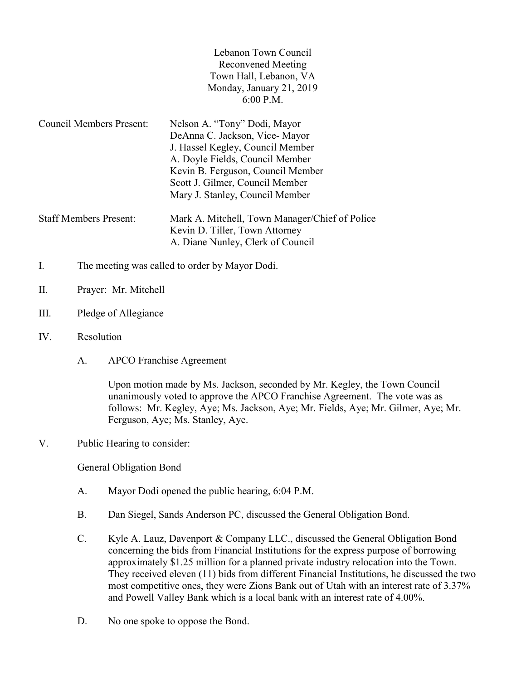| Lebanon Town Council     |  |
|--------------------------|--|
| Reconvened Meeting       |  |
| Town Hall, Lebanon, VA   |  |
| Monday, January 21, 2019 |  |
| $6:00$ P.M.              |  |

Council Members Present: Nelson A. "Tony" Dodi, Mayor DeAnna C. Jackson, Vice- Mayor J. Hassel Kegley, Council Member A. Doyle Fields, Council Member Kevin B. Ferguson, Council Member Scott J. Gilmer, Council Member Mary J. Stanley, Council Member Staff Members Present: Mark A. Mitchell, Town Manager/Chief of Police Kevin D. Tiller, Town Attorney

A. Diane Nunley, Clerk of Council

- I. The meeting was called to order by Mayor Dodi.
- II. Prayer: Mr. Mitchell
- III. Pledge of Allegiance
- IV. Resolution
	- A. APCO Franchise Agreement

Upon motion made by Ms. Jackson, seconded by Mr. Kegley, the Town Council unanimously voted to approve the APCO Franchise Agreement. The vote was as follows: Mr. Kegley, Aye; Ms. Jackson, Aye; Mr. Fields, Aye; Mr. Gilmer, Aye; Mr. Ferguson, Aye; Ms. Stanley, Aye.

V. Public Hearing to consider:

General Obligation Bond

- A. Mayor Dodi opened the public hearing, 6:04 P.M.
- B. Dan Siegel, Sands Anderson PC, discussed the General Obligation Bond.
- C. Kyle A. Lauz, Davenport & Company LLC., discussed the General Obligation Bond concerning the bids from Financial Institutions for the express purpose of borrowing approximately \$1.25 million for a planned private industry relocation into the Town. They received eleven (11) bids from different Financial Institutions, he discussed the two most competitive ones, they were Zions Bank out of Utah with an interest rate of 3.37% and Powell Valley Bank which is a local bank with an interest rate of 4.00%.
- D. No one spoke to oppose the Bond.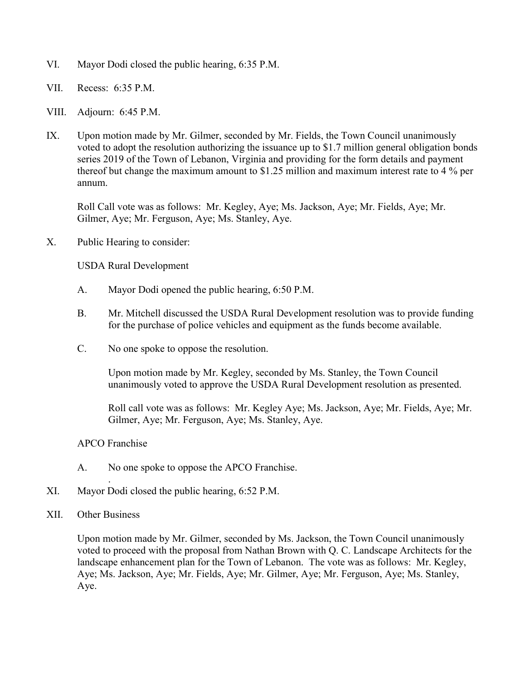- VI. Mayor Dodi closed the public hearing, 6:35 P.M.
- VII. Recess: 6:35 P.M.
- VIII. Adjourn: 6:45 P.M.
- IX. Upon motion made by Mr. Gilmer, seconded by Mr. Fields, the Town Council unanimously voted to adopt the resolution authorizing the issuance up to \$1.7 million general obligation bonds series 2019 of the Town of Lebanon, Virginia and providing for the form details and payment thereof but change the maximum amount to \$1.25 million and maximum interest rate to 4 % per annum.

Roll Call vote was as follows: Mr. Kegley, Aye; Ms. Jackson, Aye; Mr. Fields, Aye; Mr. Gilmer, Aye; Mr. Ferguson, Aye; Ms. Stanley, Aye.

X. Public Hearing to consider:

USDA Rural Development

- A. Mayor Dodi opened the public hearing, 6:50 P.M.
- B. Mr. Mitchell discussed the USDA Rural Development resolution was to provide funding for the purchase of police vehicles and equipment as the funds become available.
- C. No one spoke to oppose the resolution.

Upon motion made by Mr. Kegley, seconded by Ms. Stanley, the Town Council unanimously voted to approve the USDA Rural Development resolution as presented.

Roll call vote was as follows: Mr. Kegley Aye; Ms. Jackson, Aye; Mr. Fields, Aye; Mr. Gilmer, Aye; Mr. Ferguson, Aye; Ms. Stanley, Aye.

## APCO Franchise

- A. No one spoke to oppose the APCO Franchise.
- XI. Mayor Dodi closed the public hearing, 6:52 P.M.
- XII. Other Business

.

Upon motion made by Mr. Gilmer, seconded by Ms. Jackson, the Town Council unanimously voted to proceed with the proposal from Nathan Brown with Q. C. Landscape Architects for the landscape enhancement plan for the Town of Lebanon. The vote was as follows: Mr. Kegley, Aye; Ms. Jackson, Aye; Mr. Fields, Aye; Mr. Gilmer, Aye; Mr. Ferguson, Aye; Ms. Stanley, Aye.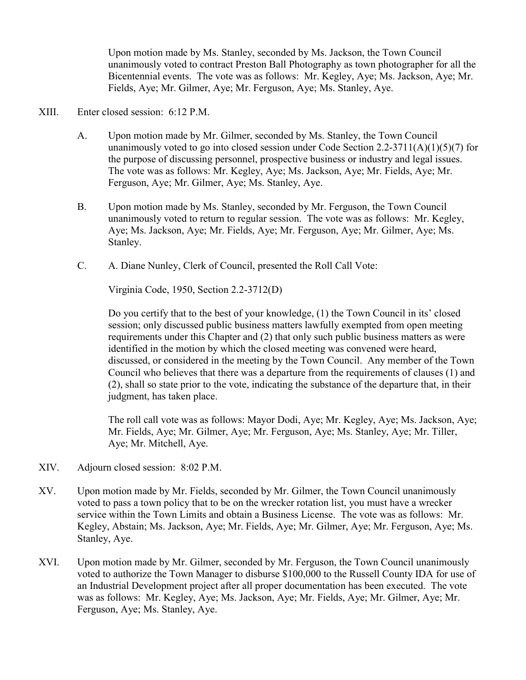Upon motion made by Ms. Stanley, seconded by Ms. Jackson, the Town Council unanimously voted to contract Preston Ball Photography as town photographer for all the Bicentennial events. The vote was as follows: Mr. Kegley, Aye; Ms. Jackson, Aye; Mr. Fields, Aye; Mr. Gilmer, Aye; Mr. Ferguson, Aye; Ms. Stanley, Aye.

## XIII. Enter closed session: 6:12 P.M.

- A. Upon motion made by Mr. Gilmer, seconded by Ms. Stanley, the Town Council unanimously voted to go into closed session under Code Section 2.2-3711(A)(1)(5)(7) for the purpose of discussing personnel, prospective business or industry and legal issues. The vote was as follows: Mr. Kegley, Aye; Ms. Jackson, Aye; Mr. Fields, Aye; Mr. Ferguson, Aye; Mr. Gilmer, Aye; Ms. Stanley, Aye.
- B. Upon motion made by Ms. Stanley, seconded by Mr. Ferguson, the Town Council unanimously voted to return to regular session. The vote was as follows: Mr. Kegley, Aye; Ms. Jackson, Aye; Mr. Fields, Aye; Mr. Ferguson, Aye; Mr. Gilmer, Aye; Ms. Stanley.
- C. A. Diane Nunley, Clerk of Council, presented the Roll Call Vote:

Virginia Code, 1950, Section 2.2-3712(D)

 Do you certify that to the best of your knowledge, (1) the Town Council in its' closed session; only discussed public business matters lawfully exempted from open meeting requirements under this Chapter and (2) that only such public business matters as were identified in the motion by which the closed meeting was convened were heard, discussed, or considered in the meeting by the Town Council. Any member of the Town Council who believes that there was a departure from the requirements of clauses (1) and (2), shall so state prior to the vote, indicating the substance of the departure that, in their judgment, has taken place.

 The roll call vote was as follows: Mayor Dodi, Aye; Mr. Kegley, Aye; Ms. Jackson, Aye; Mr. Fields, Aye; Mr. Gilmer, Aye; Mr. Ferguson, Aye; Ms. Stanley, Aye; Mr. Tiller, Aye; Mr. Mitchell, Aye.

- XIV. Adjourn closed session: 8:02 P.M.
- XV. Upon motion made by Mr. Fields, seconded by Mr. Gilmer, the Town Council unanimously voted to pass a town policy that to be on the wrecker rotation list, you must have a wrecker service within the Town Limits and obtain a Business License. The vote was as follows: Mr. Kegley, Abstain; Ms. Jackson, Aye; Mr. Fields, Aye; Mr. Gilmer, Aye; Mr. Ferguson, Aye; Ms. Stanley, Aye.
- XVI. Upon motion made by Mr. Gilmer, seconded by Mr. Ferguson, the Town Council unanimously voted to authorize the Town Manager to disburse \$100,000 to the Russell County IDA for use of an Industrial Development project after all proper documentation has been executed. The vote was as follows: Mr. Kegley, Aye; Ms. Jackson, Aye; Mr. Fields, Aye; Mr. Gilmer, Aye; Mr. Ferguson, Aye; Ms. Stanley, Aye.